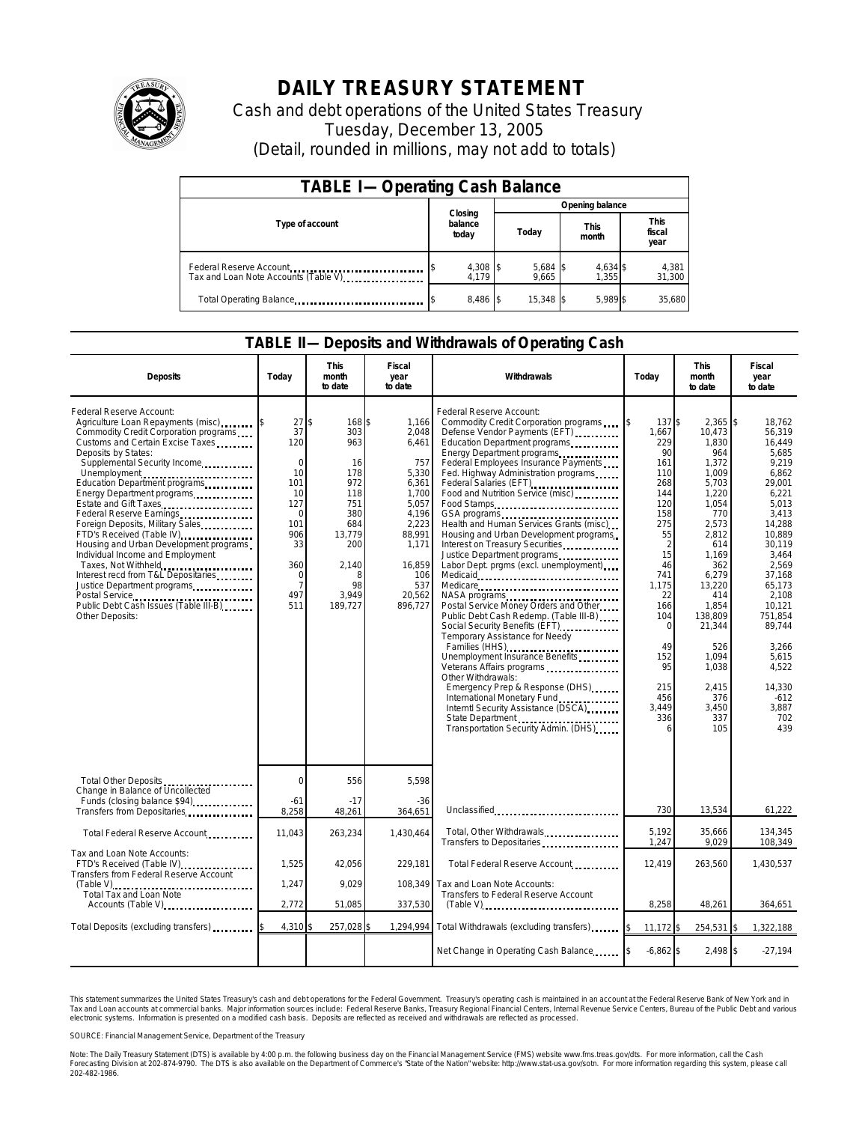

# **DAILY TREASURY STATEMENT**

Cash and debt operations of the United States Treasury Tuesday, December 13, 2005 (Detail, rounded in millions, may not add to totals)

| <b>TABLE I-Operating Cash Balance</b>                           |                             |                     |                      |                               |  |  |
|-----------------------------------------------------------------|-----------------------------|---------------------|----------------------|-------------------------------|--|--|
|                                                                 |                             | Opening balance     |                      |                               |  |  |
| Type of account                                                 | Closing<br>balance<br>today | Today               | <b>This</b><br>month | <b>This</b><br>fiscal<br>year |  |  |
| Federal Reserve Account<br>Tax and Loan Note Accounts (Table V) | 4,308 \$<br>4.179           | $5,684$ \$<br>9,665 | 4,634 \$<br>1,355    | 4,381<br>31,300               |  |  |
| Total Operating Balance                                         | 8,486 \$                    | 15.348 \$           | 5.989 \$             | 35.680                        |  |  |

### **TABLE II—Deposits and Withdrawals of Operating Cash**

| <b>Deposits</b>                                                                                                                                                                                                                                                                                                                                                                                                                                                                                                                                                                                                                                                  | Today                                                                                                                                | <b>This</b><br>month<br>to date                                                                                                    | Fiscal<br>year<br>to date                                                                                                                            | Withdrawals                                                                                                                                                                                                                                                                                                                                                                                                                                                                                                                                                                                                                                                                                                                                                                                                                                                                                                                                                                                                                                                                              | Today                                                                                                                                                                                          | <b>This</b><br>month<br>to date                                                                                                                                                                                                                           | Fiscal<br>year<br>to date                                                                                                                                                                                                                                                    |
|------------------------------------------------------------------------------------------------------------------------------------------------------------------------------------------------------------------------------------------------------------------------------------------------------------------------------------------------------------------------------------------------------------------------------------------------------------------------------------------------------------------------------------------------------------------------------------------------------------------------------------------------------------------|--------------------------------------------------------------------------------------------------------------------------------------|------------------------------------------------------------------------------------------------------------------------------------|------------------------------------------------------------------------------------------------------------------------------------------------------|------------------------------------------------------------------------------------------------------------------------------------------------------------------------------------------------------------------------------------------------------------------------------------------------------------------------------------------------------------------------------------------------------------------------------------------------------------------------------------------------------------------------------------------------------------------------------------------------------------------------------------------------------------------------------------------------------------------------------------------------------------------------------------------------------------------------------------------------------------------------------------------------------------------------------------------------------------------------------------------------------------------------------------------------------------------------------------------|------------------------------------------------------------------------------------------------------------------------------------------------------------------------------------------------|-----------------------------------------------------------------------------------------------------------------------------------------------------------------------------------------------------------------------------------------------------------|------------------------------------------------------------------------------------------------------------------------------------------------------------------------------------------------------------------------------------------------------------------------------|
| Federal Reserve Account:<br>Agriculture Loan Repayments (misc)<br>Commodity Credit Corporation programs<br>Customs and Certain Excise Taxes<br>Deposits by States:<br>Supplemental Security Income<br>Unemployment<br>Education Department programs<br>Energy Department programs<br>Estate and Gift Taxes<br>Federal Reserve Earnings<br>Foreign Deposits, Military Sales<br>FTD's Received (Table IV)<br>Housing and Urban Development programs<br>Individual Income and Employment<br>Taxes, Not Withheld<br>Interest recd from T&L Depositaries<br>Justice Department programs<br>Postal Service<br>Public Debt Cash Issues (Table III-B)<br>Other Deposits: | 27<br>37<br>120<br>$\mathbf 0$<br>10<br>101<br>10<br>127<br>$\mathbf 0$<br>101<br>906<br>33<br>360<br>$\mathbf 0$<br>7<br>497<br>511 | ፍ<br>168 \$<br>303<br>963<br>16<br>178<br>972<br>118<br>751<br>380<br>684<br>13,779<br>200<br>2,140<br>8<br>98<br>3,949<br>189,727 | 1,166<br>2,048<br>6,461<br>757<br>5,330<br>6,361<br>1,700<br>5,057<br>4,196<br>2,223<br>88,991<br>1,171<br>16,859<br>106<br>537<br>20,562<br>896,727 | Federal Reserve Account:<br>Commodity Credit Corporation programs<br>Defense Vendor Payments (EFT)<br>Education Department programs<br>Energy Department programs.<br>Federal Employees Insurance Payments<br>Fed. Highway Administration programs<br>Food and Nutrition Service (misc)<br>Food Stamps<br>GSA programs<br>surge and the contract of the contract of the contract of the contract of the contract of the contract of the<br>Health and Human Services Grants (misc)<br>Housing and Urban Development programs<br>Interest on Treasury Securities<br>Justice Department programs<br>Labor Dept. prgms (excl. unemployment)<br>Medicare<br>Postal Service Money Orders and Other<br>Public Debt Cash Redemp. (Table III-B)<br>Social Security Benefits (EFT)<br>Temporary Assistance for Needy<br>Families (HHS)<br>Unemployment Insurance Benefits<br>Veterans Affairs programs<br>Other Withdrawals:<br>Emergency Prep & Response (DHS)<br>International Monetary Fund<br>Interntl Security Assistance (DSCA)<br>State Department<br>Transportation Security Admin. (DHS) | \$<br>137\$<br>1,667<br>229<br>90<br>161<br>110<br>268<br>144<br>120<br>158<br>275<br>55<br>15<br>46<br>741<br>1.175<br>22<br>166<br>104<br>∩<br>49<br>152<br>95<br>215<br>456<br>3.449<br>336 | $2,365$ \$<br>10.473<br>1,830<br>964<br>1,372<br>1,009<br>5,703<br>1,220<br>1,054<br>770<br>2,573<br>2,812<br>614<br>1,169<br>362<br>6,279<br>13,220<br>414<br>1,854<br>138,809<br>21,344<br>526<br>1,094<br>1,038<br>2,415<br>376<br>3,450<br>337<br>105 | 18,762<br>56.319<br>16.449<br>5.685<br>9,219<br>6,862<br>29,001<br>6.221<br>5,013<br>3,413<br>14,288<br>10.889<br>30.119<br>3,464<br>2,569<br>37,168<br>65.173<br>2,108<br>10,121<br>751.854<br>89,744<br>3,266<br>5.615<br>4,522<br>14,330<br>$-612$<br>3,887<br>702<br>439 |
| Total Other Deposits<br>Change in Balance of Uncollected<br>Funds (closing balance \$94)                                                                                                                                                                                                                                                                                                                                                                                                                                                                                                                                                                         | $\Omega$<br>$-61$                                                                                                                    | 556<br>$-17$                                                                                                                       | 5,598<br>$-36$                                                                                                                                       |                                                                                                                                                                                                                                                                                                                                                                                                                                                                                                                                                                                                                                                                                                                                                                                                                                                                                                                                                                                                                                                                                          |                                                                                                                                                                                                |                                                                                                                                                                                                                                                           |                                                                                                                                                                                                                                                                              |
| Transfers from Depositaries<br>Total Federal Reserve Account                                                                                                                                                                                                                                                                                                                                                                                                                                                                                                                                                                                                     | 8,258<br>11,043                                                                                                                      | 48,261<br>263,234                                                                                                                  | 364,651<br>1,430,464                                                                                                                                 | Unclassified<br>Total, Other Withdrawals                                                                                                                                                                                                                                                                                                                                                                                                                                                                                                                                                                                                                                                                                                                                                                                                                                                                                                                                                                                                                                                 | 730<br>5.192                                                                                                                                                                                   | 13,534<br>35,666                                                                                                                                                                                                                                          | 61,222<br>134,345                                                                                                                                                                                                                                                            |
| Tax and Loan Note Accounts:                                                                                                                                                                                                                                                                                                                                                                                                                                                                                                                                                                                                                                      |                                                                                                                                      |                                                                                                                                    |                                                                                                                                                      | Transfers to Depositaries                                                                                                                                                                                                                                                                                                                                                                                                                                                                                                                                                                                                                                                                                                                                                                                                                                                                                                                                                                                                                                                                | 1,247                                                                                                                                                                                          | 9,029                                                                                                                                                                                                                                                     | 108,349                                                                                                                                                                                                                                                                      |
| FTD's Received (Table IV)<br><b>Transfers from Federal Reserve Account</b>                                                                                                                                                                                                                                                                                                                                                                                                                                                                                                                                                                                       | 1,525                                                                                                                                | 42,056                                                                                                                             | 229.181                                                                                                                                              | Total Federal Reserve Account                                                                                                                                                                                                                                                                                                                                                                                                                                                                                                                                                                                                                                                                                                                                                                                                                                                                                                                                                                                                                                                            | 12,419                                                                                                                                                                                         | 263,560                                                                                                                                                                                                                                                   | 1,430,537                                                                                                                                                                                                                                                                    |
| Total Tax and Loan Note                                                                                                                                                                                                                                                                                                                                                                                                                                                                                                                                                                                                                                          | 1.247                                                                                                                                | 9.029                                                                                                                              | 108.349                                                                                                                                              | Tax and Loan Note Accounts:<br>Transfers to Federal Reserve Account                                                                                                                                                                                                                                                                                                                                                                                                                                                                                                                                                                                                                                                                                                                                                                                                                                                                                                                                                                                                                      |                                                                                                                                                                                                |                                                                                                                                                                                                                                                           |                                                                                                                                                                                                                                                                              |
| Accounts (Table V)                                                                                                                                                                                                                                                                                                                                                                                                                                                                                                                                                                                                                                               | 2,772                                                                                                                                | 51,085                                                                                                                             | 337,530                                                                                                                                              | $(Table V)$                                                                                                                                                                                                                                                                                                                                                                                                                                                                                                                                                                                                                                                                                                                                                                                                                                                                                                                                                                                                                                                                              | 8.258                                                                                                                                                                                          | 48,261                                                                                                                                                                                                                                                    | 364,651                                                                                                                                                                                                                                                                      |
| Total Deposits (excluding transfers)                                                                                                                                                                                                                                                                                                                                                                                                                                                                                                                                                                                                                             | 4,310                                                                                                                                | 257,028                                                                                                                            | 1,294,994                                                                                                                                            | Total Withdrawals (excluding transfers)                                                                                                                                                                                                                                                                                                                                                                                                                                                                                                                                                                                                                                                                                                                                                                                                                                                                                                                                                                                                                                                  | $11,172$ \$<br>1\$                                                                                                                                                                             | 254,531                                                                                                                                                                                                                                                   | 1.322.188                                                                                                                                                                                                                                                                    |
|                                                                                                                                                                                                                                                                                                                                                                                                                                                                                                                                                                                                                                                                  |                                                                                                                                      |                                                                                                                                    |                                                                                                                                                      | Net Change in Operating Cash Balance                                                                                                                                                                                                                                                                                                                                                                                                                                                                                                                                                                                                                                                                                                                                                                                                                                                                                                                                                                                                                                                     | $-6,862$ \$                                                                                                                                                                                    | 2,498 \$                                                                                                                                                                                                                                                  | $-27,194$                                                                                                                                                                                                                                                                    |

This statement summarizes the United States Treasury's cash and debt operations for the Federal Government. Treasury's operating cash is maintained in an account at the Federal Reserve Bank of New York and in<br>Tax and Loan narizes the United States Treasury's cash and debt operations for the Federal Government. Treasury's operating cash is maintained in an account at the Federal Reserve Bank of New York and in<br>ints at commercial banks. Major

SOURCE: Financial Management Service, Department of the Treasury

Note: The Daily Treasury Statement (DTS) is available by 4:00 p.m. the following business day on the Financial Management Service (FMS) website www.fms.treas.gov/dts. For more information, call the Cash<br>Forecasting Divisio 202-482-1986.